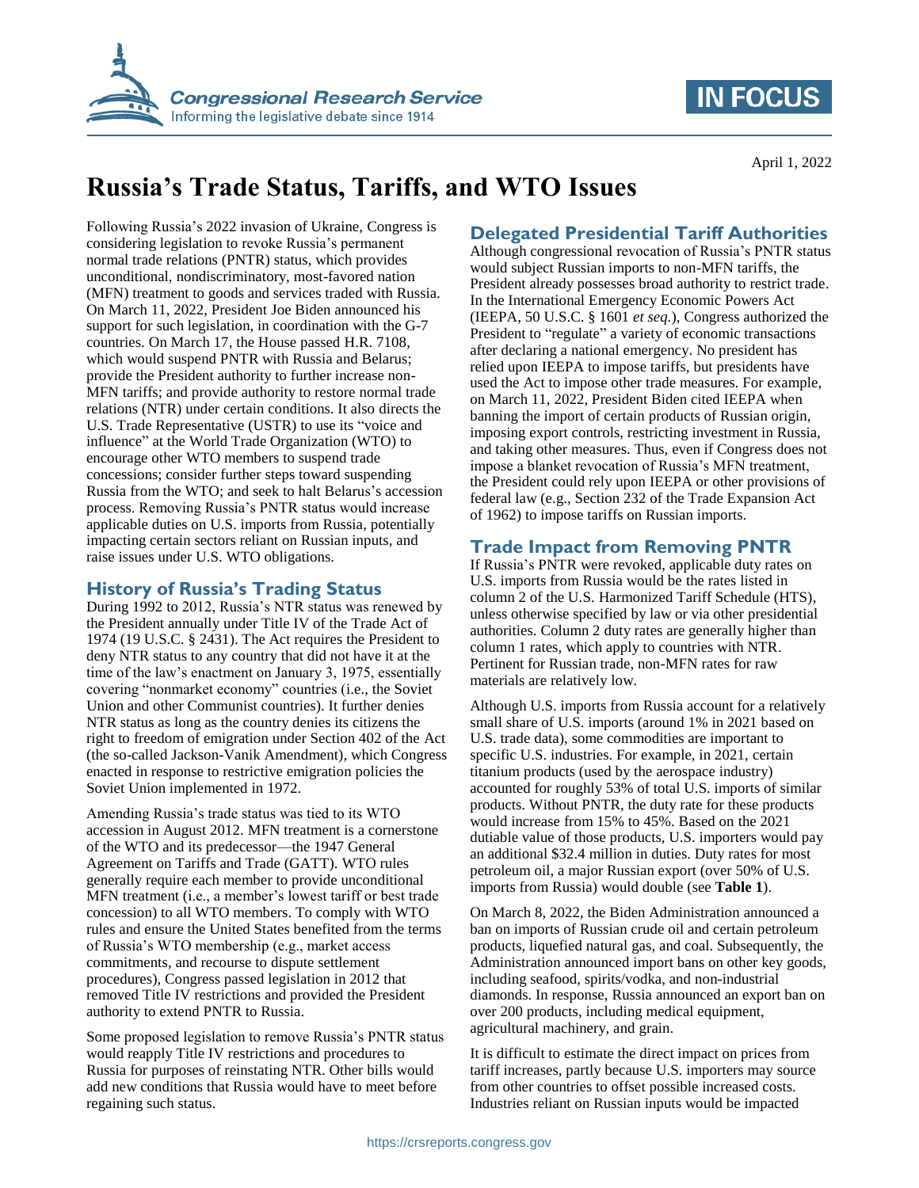

## **IN FOCUS**

April 1, 2022

# **Russia's Trade Status, Tariffs, and WTO Issues**

Following Russia's 2022 invasion of Ukraine, Congress is considering legislation to revoke Russia's permanent normal trade relations (PNTR) status, which provides unconditional, nondiscriminatory, most-favored nation (MFN) treatment to goods and services traded with Russia. On March 11, 2022, President Joe Biden announced his support for such legislation, in coordination with the G-7 countries. On March 17, the House passed H.R. 7108, which would suspend PNTR with Russia and Belarus; provide the President authority to further increase non-MFN tariffs; and provide authority to restore normal trade relations (NTR) under certain conditions. It also directs the U.S. Trade Representative (USTR) to use its "voice and influence" at the World Trade Organization (WTO) to encourage other WTO members to suspend trade concessions; consider further steps toward suspending Russia from the WTO; and seek to halt Belarus's accession process. Removing Russia's PNTR status would increase applicable duties on U.S. imports from Russia, potentially impacting certain sectors reliant on Russian inputs, and raise issues under U.S. WTO obligations.

### **History of Russia's Trading Status**

During 1992 to 2012, Russia's NTR status was renewed by the President annually under Title IV of the Trade Act of 1974 (19 U.S.C. § 2431). The Act requires the President to deny NTR status to any country that did not have it at the time of the law's enactment on January 3, 1975, essentially covering "nonmarket economy" countries (i.e., the Soviet Union and other Communist countries). It further denies NTR status as long as the country denies its citizens the right to freedom of emigration under Section 402 of the Act (the so-called Jackson-Vanik Amendment), which Congress enacted in response to restrictive emigration policies the Soviet Union implemented in 1972.

Amending Russia's trade status was tied to its WTO accession in August 2012. MFN treatment is a cornerstone of the WTO and its predecessor—the 1947 General Agreement on Tariffs and Trade (GATT). WTO rules generally require each member to provide unconditional MFN treatment (i.e., a member's lowest tariff or best trade concession) to all WTO members. To comply with WTO rules and ensure the United States benefited from the terms of Russia's WTO membership (e.g., market access commitments, and recourse to dispute settlement procedures), Congress passed legislation in 2012 that removed Title IV restrictions and provided the President authority to extend PNTR to Russia.

Some proposed legislation to remove Russia's PNTR status would reapply Title IV restrictions and procedures to Russia for purposes of reinstating NTR. Other bills would add new conditions that Russia would have to meet before regaining such status.

### **Delegated Presidential Tariff Authorities**

Although congressional revocation of Russia's PNTR status would subject Russian imports to non-MFN tariffs, the President already possesses broad authority to restrict trade. In the International Emergency Economic Powers Act (IEEPA, 50 U.S.C. § 1601 *et seq.*), Congress authorized the President to "regulate" a variety of economic transactions after declaring a national emergency. No president has relied upon IEEPA to impose tariffs, but presidents have used the Act to impose other trade measures. For example, on March 11, 2022, President Biden cited IEEPA when banning the import of certain products of Russian origin, imposing export controls, restricting investment in Russia, and taking other measures. Thus, even if Congress does not impose a blanket revocation of Russia's MFN treatment, the President could rely upon IEEPA or other provisions of federal law (e.g., Section 232 of the Trade Expansion Act of 1962) to impose tariffs on Russian imports.

## **Trade Impact from Removing PNTR**

If Russia's PNTR were revoked, applicable duty rates on U.S. imports from Russia would be the rates listed in column 2 of the U.S. Harmonized Tariff Schedule (HTS), unless otherwise specified by law or via other presidential authorities. Column 2 duty rates are generally higher than column 1 rates, which apply to countries with NTR. Pertinent for Russian trade, non-MFN rates for raw materials are relatively low.

Although U.S. imports from Russia account for a relatively small share of U.S. imports (around 1% in 2021 based on U.S. trade data), some commodities are important to specific U.S. industries. For example, in 2021, certain titanium products (used by the aerospace industry) accounted for roughly 53% of total U.S. imports of similar products. Without PNTR, the duty rate for these products would increase from 15% to 45%. Based on the 2021 dutiable value of those products, U.S. importers would pay an additional \$32.4 million in duties. Duty rates for most petroleum oil, a major Russian export (over 50% of U.S. imports from Russia) would double (see **[Table 1](#page-1-0)**).

On March 8, 2022, the Biden Administration announced a ban on imports of Russian crude oil and certain petroleum products, liquefied natural gas, and coal. Subsequently, the Administration announced import bans on other key goods, including seafood, spirits/vodka, and non-industrial diamonds. In response, Russia announced an export ban on over 200 products, including medical equipment, agricultural machinery, and grain.

It is difficult to estimate the direct impact on prices from tariff increases, partly because U.S. importers may source from other countries to offset possible increased costs. Industries reliant on Russian inputs would be impacted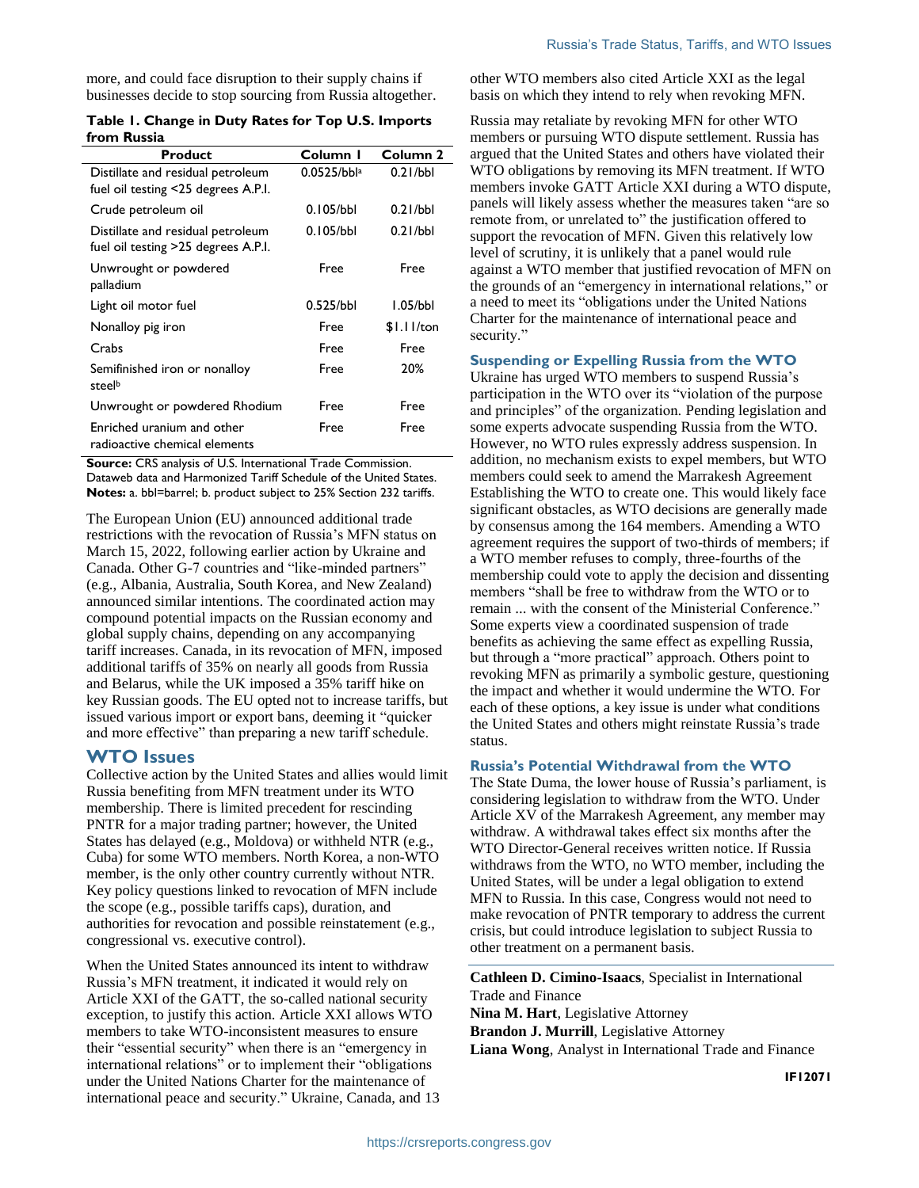more, and could face disruption to their supply chains if businesses decide to stop sourcing from Russia altogether.

<span id="page-1-0"></span>

| Table 1. Change in Duty Rates for Top U.S. Imports |  |  |
|----------------------------------------------------|--|--|
| from Russia                                        |  |  |

| <b>Product</b>                                                           | Column I                 | Column 2     |
|--------------------------------------------------------------------------|--------------------------|--------------|
| Distillate and residual petroleum<br>fuel oil testing <25 degrees A.P.I. | $0.0525/bb$ <sup>a</sup> | 0.21/bbl     |
| Crude petroleum oil                                                      | 0.105/bbl                | 0.21/bbl     |
| Distillate and residual petroleum<br>fuel oil testing >25 degrees A.P.I. | 0.105/bbl                | 0.21/bbl     |
| Unwrought or powdered<br>palladium                                       | Free                     | Free         |
| Light oil motor fuel                                                     | 0.525/bbl                | l.05/bbl     |
| Nonalloy pig iron                                                        | Free                     | $$1.11$ /ton |
| Crabs                                                                    | Free                     | Free         |
| Semifinished iron or nonalloy<br>steelb                                  | Free                     | 20%          |
| Unwrought or powdered Rhodium                                            | Free                     | Free         |
| Enriched uranium and other<br>radioactive chemical elements              | Free                     | Free         |

**Source: CRS analysis of U.S. International Trade Commission.** Dataweb data and Harmonized Tariff Schedule of the United States. **Notes:** a. bbl=barrel; b. product subject to 25% Section 232 tariffs.

The European Union (EU) announced additional trade restrictions with the revocation of Russia's MFN status on March 15, 2022, following earlier action by Ukraine and Canada. Other G-7 countries and "like-minded partners" (e.g., Albania, Australia, South Korea, and New Zealand) announced similar intentions. The coordinated action may compound potential impacts on the Russian economy and global supply chains, depending on any accompanying tariff increases. Canada, in its revocation of MFN, imposed additional tariffs of 35% on nearly all goods from Russia and Belarus, while the UK imposed a 35% tariff hike on key Russian goods. The EU opted not to increase tariffs, but issued various import or export bans, deeming it "quicker and more effective" than preparing a new tariff schedule.

#### **WTO Issues**

Collective action by the United States and allies would limit Russia benefiting from MFN treatment under its WTO membership. There is limited precedent for rescinding PNTR for a major trading partner; however, the United States has delayed (e.g., Moldova) or withheld NTR (e.g., Cuba) for some WTO members. North Korea, a non-WTO member, is the only other country currently without NTR. Key policy questions linked to revocation of MFN include the scope (e.g., possible tariffs caps), duration, and authorities for revocation and possible reinstatement (e.g., congressional vs. executive control).

When the United States announced its intent to withdraw Russia's MFN treatment, it indicated it would rely on Article XXI of the GATT, the so-called national security exception, to justify this action. Article XXI allows WTO members to take WTO-inconsistent measures to ensure their "essential security" when there is an "emergency in international relations" or to implement their "obligations under the United Nations Charter for the maintenance of international peace and security." Ukraine, Canada, and 13 other WTO members also cited Article XXI as the legal basis on which they intend to rely when revoking MFN.

Russia may retaliate by revoking MFN for other WTO members or pursuing WTO dispute settlement. Russia has argued that the United States and others have violated their WTO obligations by removing its MFN treatment. If WTO members invoke GATT Article XXI during a WTO dispute, panels will likely assess whether the measures taken "are so remote from, or unrelated to" the justification offered to support the revocation of MFN. Given this relatively low level of scrutiny, it is unlikely that a panel would rule against a WTO member that justified revocation of MFN on the grounds of an "emergency in international relations," or a need to meet its "obligations under the United Nations Charter for the maintenance of international peace and security."

#### **Suspending or Expelling Russia from the WTO**

Ukraine has urged WTO members to suspend Russia's participation in the WTO over its "violation of the purpose and principles" of the organization. Pending legislation and some experts advocate suspending Russia from the WTO. However, no WTO rules expressly address suspension. In addition, no mechanism exists to expel members, but WTO members could seek to amend the Marrakesh Agreement Establishing the WTO to create one. This would likely face significant obstacles, as WTO decisions are generally made by consensus among the 164 members. Amending a WTO agreement requires the support of two-thirds of members; if a WTO member refuses to comply, three-fourths of the membership could vote to apply the decision and dissenting members "shall be free to withdraw from the WTO or to remain ... with the consent of the Ministerial Conference." Some experts view a coordinated suspension of trade benefits as achieving the same effect as expelling Russia, but through a "more practical" approach. Others point to revoking MFN as primarily a symbolic gesture, questioning the impact and whether it would undermine the WTO. For each of these options, a key issue is under what conditions the United States and others might reinstate Russia's trade status.

#### **Russia's Potential Withdrawal from the WTO**

The State Duma, the lower house of Russia's parliament, is considering legislation to withdraw from the WTO. Under Article XV of the Marrakesh Agreement, any member may withdraw. A withdrawal takes effect six months after the WTO Director-General receives written notice. If Russia withdraws from the WTO, no WTO member, including the United States, will be under a legal obligation to extend MFN to Russia. In this case, Congress would not need to make revocation of PNTR temporary to address the current crisis, but could introduce legislation to subject Russia to other treatment on a permanent basis.

**Cathleen D. Cimino-Isaacs**, Specialist in International Trade and Finance **Nina M. Hart**, Legislative Attorney **Brandon J. Murrill**, Legislative Attorney **Liana Wong**, Analyst in International Trade and Finance